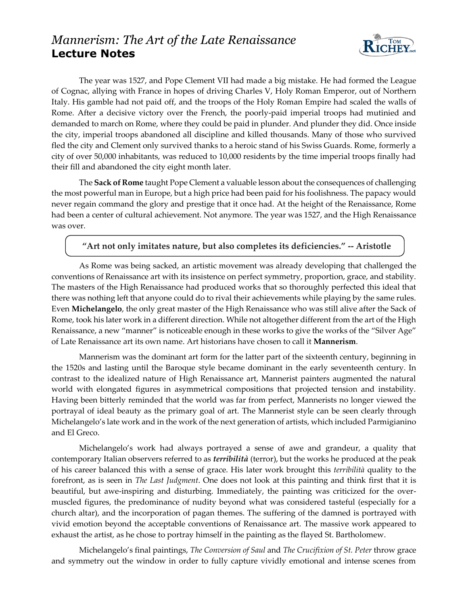## *Mannerism: The Art of the Late Renaissance* **Lecture Notes**



The year was 1527, and Pope Clement VII had made a big mistake. He had formed the League of Cognac, allying with France in hopes of driving Charles V, Holy Roman Emperor, out of Northern Italy. His gamble had not paid off, and the troops of the Holy Roman Empire had scaled the walls of Rome. After a decisive victory over the French, the poorly-paid imperial troops had mutinied and demanded to march on Rome, where they could be paid in plunder. And plunder they did. Once inside the city, imperial troops abandoned all discipline and killed thousands. Many of those who survived fled the city and Clement only survived thanks to a heroic stand of his Swiss Guards. Rome, formerly a city of over 50,000 inhabitants, was reduced to 10,000 residents by the time imperial troops finally had their fill and abandoned the city eight month later.

The **Sack of Rome** taught Pope Clement a valuable lesson about the consequences of challenging the most powerful man in Europe, but a high price had been paid for his foolishness. The papacy would never regain command the glory and prestige that it once had. At the height of the Renaissance, Rome had been a center of cultural achievement. Not anymore. The year was 1527, and the High Renaissance was over.

## **"Art not only imitates nature, but also completes its deficiencies." -- Aristotle**

As Rome was being sacked, an artistic movement was already developing that challenged the conventions of Renaissance art with its insistence on perfect symmetry, proportion, grace, and stability. The masters of the High Renaissance had produced works that so thoroughly perfected this ideal that there was nothing left that anyone could do to rival their achievements while playing by the same rules. Even **Michelangelo**, the only great master of the High Renaissance who was still alive after the Sack of Rome, took his later work in a different direction. While not altogether different from the art of the High Renaissance, a new "manner" is noticeable enough in these works to give the works of the "Silver Age" of Late Renaissance art its own name. Art historians have chosen to call it **Mannerism**.

Mannerism was the dominant art form for the latter part of the sixteenth century, beginning in the 1520s and lasting until the Baroque style became dominant in the early seventeenth century. In contrast to the idealized nature of High Renaissance art, Mannerist painters augmented the natural world with elongated figures in asymmetrical compositions that projected tension and instability. Having been bitterly reminded that the world was far from perfect, Mannerists no longer viewed the portrayal of ideal beauty as the primary goal of art. The Mannerist style can be seen clearly through Michelangelo's late work and in the work of the next generation of artists, which included Parmigianino and El Greco.

Michelangelo's work had always portrayed a sense of awe and grandeur, a quality that contemporary Italian observers referred to as *terribilità* (terror), but the works he produced at the peak of his career balanced this with a sense of grace. His later work brought this *terribilità* quality to the forefront, as is seen in *The Last Judgment*. One does not look at this painting and think first that it is beautiful, but awe-inspiring and disturbing. Immediately, the painting was criticized for the overmuscled figures, the predominance of nudity beyond what was considered tasteful (especially for a church altar), and the incorporation of pagan themes. The suffering of the damned is portrayed with vivid emotion beyond the acceptable conventions of Renaissance art. The massive work appeared to exhaust the artist, as he chose to portray himself in the painting as the flayed St. Bartholomew.

Michelangelo's final paintings, *The Conversion of Saul* and *The Crucifixion of St. Peter* throw grace and symmetry out the window in order to fully capture vividly emotional and intense scenes from